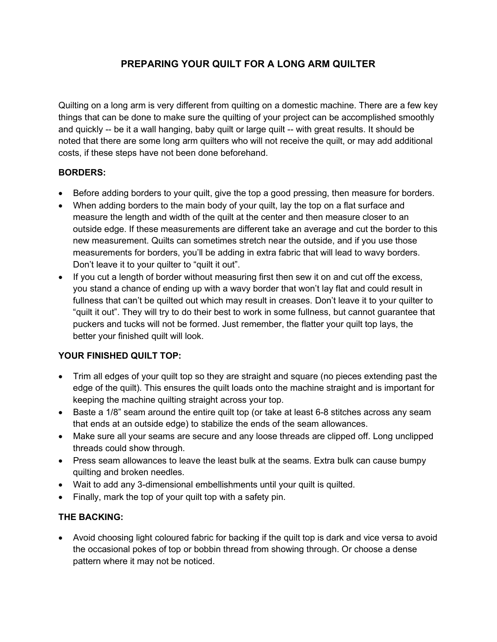# PREPARING YOUR QUILT FOR A LONG ARM QUILTER

Quilting on a long arm is very different from quilting on a domestic machine. There are a few key things that can be done to make sure the quilting of your project can be accomplished smoothly and quickly -- be it a wall hanging, baby quilt or large quilt -- with great results. It should be noted that there are some long arm quilters who will not receive the quilt, or may add additional costs, if these steps have not been done beforehand.

#### BORDERS:

- Before adding borders to your quilt, give the top a good pressing, then measure for borders.
- When adding borders to the main body of your quilt, lay the top on a flat surface and measure the length and width of the quilt at the center and then measure closer to an outside edge. If these measurements are different take an average and cut the border to this new measurement. Quilts can sometimes stretch near the outside, and if you use those measurements for borders, you'll be adding in extra fabric that will lead to wavy borders. Don't leave it to your quilter to "quilt it out".
- If you cut a length of border without measuring first then sew it on and cut off the excess, you stand a chance of ending up with a wavy border that won't lay flat and could result in fullness that can't be quilted out which may result in creases. Don't leave it to your quilter to "quilt it out". They will try to do their best to work in some fullness, but cannot guarantee that puckers and tucks will not be formed. Just remember, the flatter your quilt top lays, the better your finished quilt will look.

### YOUR FINISHED QUILT TOP:

- Trim all edges of your quilt top so they are straight and square (no pieces extending past the edge of the quilt). This ensures the quilt loads onto the machine straight and is important for keeping the machine quilting straight across your top.
- Baste a 1/8" seam around the entire quilt top (or take at least 6-8 stitches across any seam that ends at an outside edge) to stabilize the ends of the seam allowances.
- Make sure all your seams are secure and any loose threads are clipped off. Long unclipped threads could show through.
- Press seam allowances to leave the least bulk at the seams. Extra bulk can cause bumpy quilting and broken needles.
- Wait to add any 3-dimensional embellishments until your quilt is quilted.
- Finally, mark the top of your quilt top with a safety pin.

### THE BACKING:

 Avoid choosing light coloured fabric for backing if the quilt top is dark and vice versa to avoid the occasional pokes of top or bobbin thread from showing through. Or choose a dense pattern where it may not be noticed.